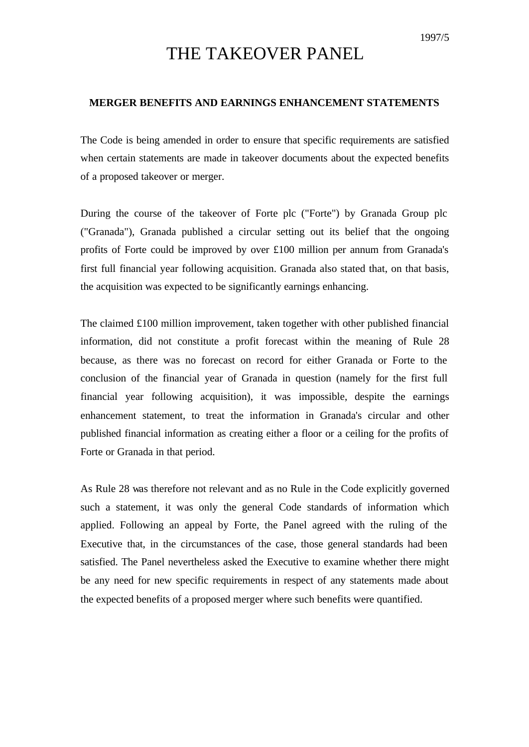## THE TAKEOVER PANEL

## **MERGER BENEFITS AND EARNINGS ENHANCEMENT STATEMENTS**

The Code is being amended in order to ensure that specific requirements are satisfied when certain statements are made in takeover documents about the expected benefits of a proposed takeover or merger.

During the course of the takeover of Forte plc ("Forte") by Granada Group plc ("Granada"), Granada published a circular setting out its belief that the ongoing profits of Forte could be improved by over £100 million per annum from Granada's first full financial year following acquisition. Granada also stated that, on that basis, the acquisition was expected to be significantly earnings enhancing.

The claimed £100 million improvement, taken together with other published financial information, did not constitute a profit forecast within the meaning of Rule 28 because, as there was no forecast on record for either Granada or Forte to the conclusion of the financial year of Granada in question (namely for the first full financial year following acquisition), it was impossible, despite the earnings enhancement statement, to treat the information in Granada's circular and other published financial information as creating either a floor or a ceiling for the profits of Forte or Granada in that period.

As Rule 28 was therefore not relevant and as no Rule in the Code explicitly governed such a statement, it was only the general Code standards of information which applied. Following an appeal by Forte, the Panel agreed with the ruling of the Executive that, in the circumstances of the case, those general standards had been satisfied. The Panel nevertheless asked the Executive to examine whether there might be any need for new specific requirements in respect of any statements made about the expected benefits of a proposed merger where such benefits were quantified.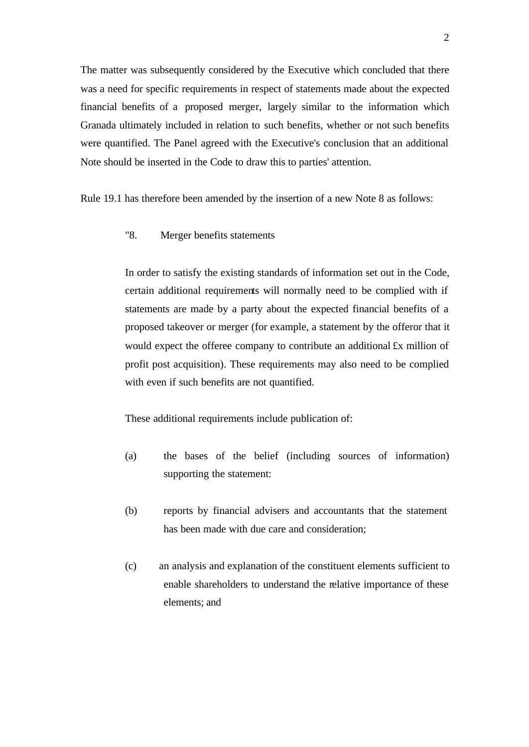The matter was subsequently considered by the Executive which concluded that there was a need for specific requirements in respect of statements made about the expected financial benefits of a proposed merger, largely similar to the information which Granada ultimately included in relation to such benefits, whether or not such benefits were quantified. The Panel agreed with the Executive's conclusion that an additional Note should be inserted in the Code to draw this to parties' attention.

Rule 19.1 has therefore been amended by the insertion of a new Note 8 as follows:

"8. Merger benefits statements

In order to satisfy the existing standards of information set out in the Code, certain additional requirements will normally need to be complied with if statements are made by a party about the expected financial benefits of a proposed takeover or merger (for example, a statement by the offeror that it would expect the offeree company to contribute an additional £x million of profit post acquisition). These requirements may also need to be complied with even if such benefits are not quantified.

These additional requirements include publication of:

- (a) the bases of the belief (including sources of information) supporting the statement:
- (b) reports by financial advisers and accountants that the statement has been made with due care and consideration;
- (c) an analysis and explanation of the constituent elements sufficient to enable shareholders to understand the relative importance of these elements; and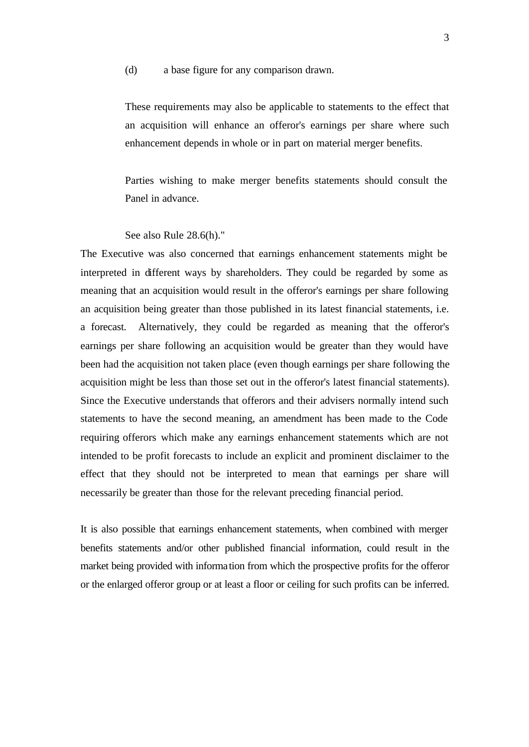(d) a base figure for any comparison drawn.

These requirements may also be applicable to statements to the effect that an acquisition will enhance an offeror's earnings per share where such enhancement depends in whole or in part on material merger benefits.

Parties wishing to make merger benefits statements should consult the Panel in advance.

See also Rule 28.6(h)."

The Executive was also concerned that earnings enhancement statements might be interpreted in different ways by shareholders. They could be regarded by some as meaning that an acquisition would result in the offeror's earnings per share following an acquisition being greater than those published in its latest financial statements, i.e. a forecast. Alternatively, they could be regarded as meaning that the offeror's earnings per share following an acquisition would be greater than they would have been had the acquisition not taken place (even though earnings per share following the acquisition might be less than those set out in the offeror's latest financial statements). Since the Executive understands that offerors and their advisers normally intend such statements to have the second meaning, an amendment has been made to the Code requiring offerors which make any earnings enhancement statements which are not intended to be profit forecasts to include an explicit and prominent disclaimer to the effect that they should not be interpreted to mean that earnings per share will necessarily be greater than those for the relevant preceding financial period.

It is also possible that earnings enhancement statements, when combined with merger benefits statements and/or other published financial information, could result in the market being provided with information from which the prospective profits for the offeror or the enlarged offeror group or at least a floor or ceiling for such profits can be inferred.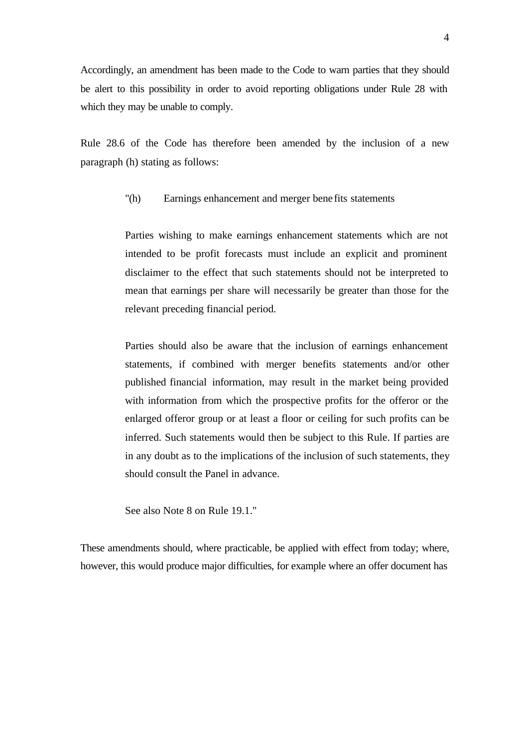Accordingly, an amendment has been made to the Code to warn parties that they should be alert to this possibility in order to avoid reporting obligations under Rule 28 with which they may be unable to comply.

Rule 28.6 of the Code has therefore been amended by the inclusion of a new paragraph (h) stating as follows:

## "(h) Earnings enhancement and merger bene fits statements

Parties wishing to make earnings enhancement statements which are not intended to be profit forecasts must include an explicit and prominent disclaimer to the effect that such statements should not be interpreted to mean that earnings per share will necessarily be greater than those for the relevant preceding financial period.

Parties should also be aware that the inclusion of earnings enhancement statements, if combined with merger benefits statements and/or other published financial information, may result in the market being provided with information from which the prospective profits for the offeror or the enlarged offeror group or at least a floor or ceiling for such profits can be inferred. Such statements would then be subject to this Rule. If parties are in any doubt as to the implications of the inclusion of such statements, they should consult the Panel in advance.

See also Note 8 on Rule 19.1."

These amendments should, where practicable, be applied with effect from today; where, however, this would produce major difficulties, for example where an offer document has